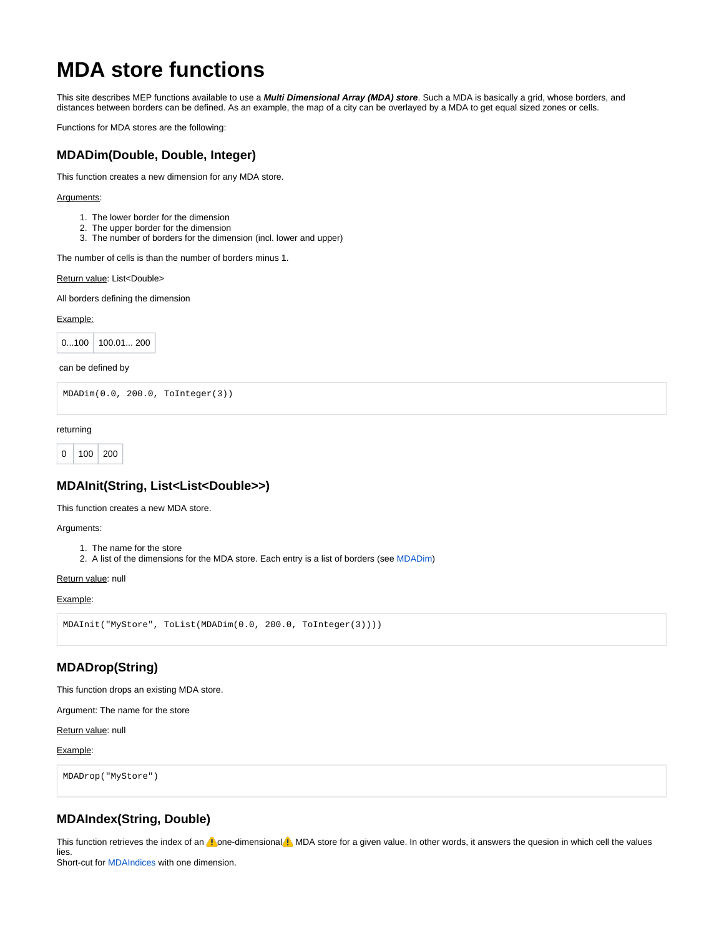# **MDA store functions**

This site describes MEP functions available to use a **Multi Dimensional Array (MDA) store**. Such a MDA is basically a grid, whose borders, and distances between borders can be defined. As an example, the map of a city can be overlayed by a MDA to get equal sized zones or cells.

Functions for MDA stores are the following:

### **MDADim(Double, Double, Integer)**

This function creates a new dimension for any MDA store.

#### Arguments:

- 1. The lower border for the dimension
- 2. The upper border for the dimension
- 3. The number of borders for the dimension (incl. lower and upper)

The number of cells is than the number of borders minus 1.

Return value: List<Double>

All borders defining the dimension

#### Example:

 $0...100$  100.01... 200

can be defined by

```
MDADim(0.0, 200.0, ToInteger(3))
```
returning

```
0 | 100 | 200
```
## **MDAInit(String, List<List<Double>>)**

This function creates a new MDA store.

#### Arguments:

- 1. The name for the store
- 2. A list of the dimensions for the MDA store. Each entry is a list of borders (see MDADim)

Return value: null

#### Example:

```
MDAInit("MyStore", ToList(MDADim(0.0, 200.0, ToInteger(3))))
```
# **MDADrop(String)**

This function drops an existing MDA store.

Argument: The name for the store

Return value: null

Example:

MDADrop("MyStore")

# **MDAIndex(String, Double)**

This function retrieves the index of an  $\Lambda$  one-dimensional  $\Lambda$  MDA store for a given value. In other words, it answers the quesion in which cell the values lies.

Short-cut for MDAIndices with one dimension.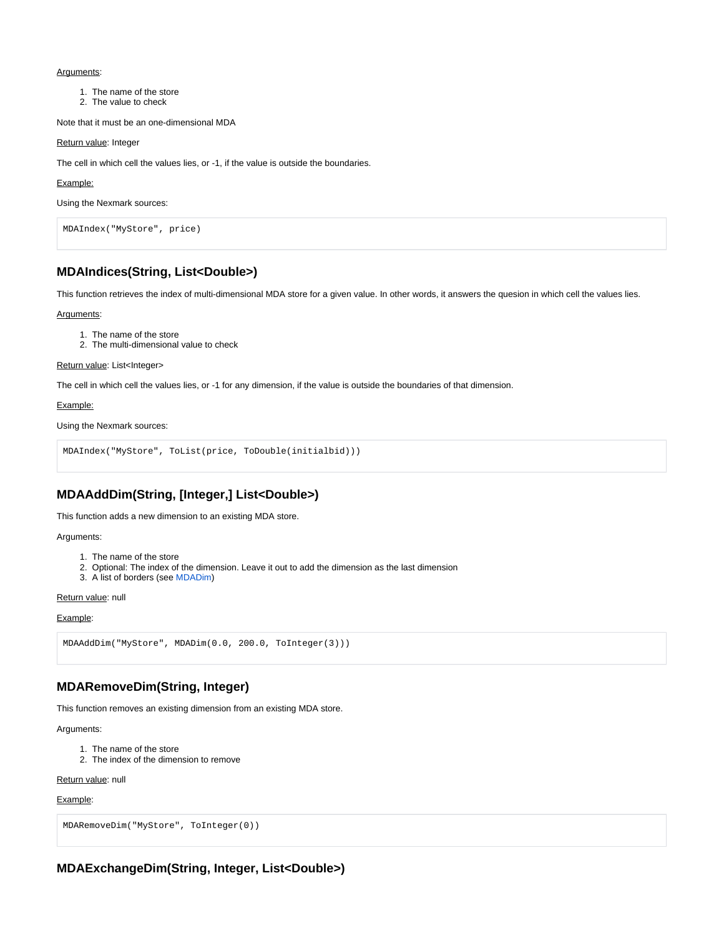#### Arguments:

- 1. The name of the store
- 2. The value to check

Note that it must be an one-dimensional MDA

#### Return value: Integer

The cell in which cell the values lies, or -1, if the value is outside the boundaries.

#### Example:

Using the Nexmark sources:

```
MDAIndex("MyStore", price)
```
### **MDAIndices(String, List<Double>)**

This function retrieves the index of multi-dimensional MDA store for a given value. In other words, it answers the quesion in which cell the values lies.

#### Arguments:

- 1. The name of the store
- 2. The multi-dimensional value to check

#### Return value: List<Integer>

The cell in which cell the values lies, or -1 for any dimension, if the value is outside the boundaries of that dimension.

#### Example:

Using the Nexmark sources:

```
MDAIndex("MyStore", ToList(price, ToDouble(initialbid)))
```
## **MDAAddDim(String, [Integer,] List<Double>)**

This function adds a new dimension to an existing MDA store.

#### Arguments:

- 1. The name of the store
- 2. Optional: The index of the dimension. Leave it out to add the dimension as the last dimension
- 3. A list of borders (see MDADim)

#### Return value: null

#### Example:

```
MDAAddDim("MyStore", MDADim(0.0, 200.0, ToInteger(3)))
```
### **MDARemoveDim(String, Integer)**

This function removes an existing dimension from an existing MDA store.

Arguments:

- 1. The name of the store
- 2. The index of the dimension to remove

Return value: null

Example:

```
MDARemoveDim("MyStore", ToInteger(0))
```
# **MDAExchangeDim(String, Integer, List<Double>)**